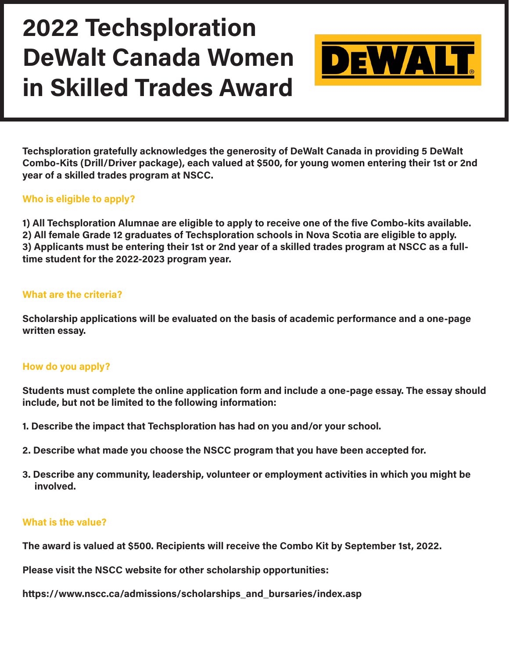

**Techsploration gratefully acknowledges the generosity of DeWalt Canada in providing 5 DeWalt Combo-Kits (Drill/Driver package), each valued at \$500, for young women entering their 1st or 2nd year of a skilled trades program at NSCC.**

### **Who is eligible to apply?**

**1) All Techsploration Alumnae are eligible to apply to receive one of the five Combo-kits available. 2) All female Grade 12 graduates of Techsploration schools in Nova Scotia are eligible to apply. 3) Applicants must be entering their 1st or 2nd year of a skilled trades program at NSCC as a fulltime student for the 2022-2023 program year.**

### **What are the criteria?**

**Scholarship applications will be evaluated on the basis of academic performance and a one-page written essay.**

### **How do you apply?**

**Students must complete the online application form and include a one-page essay. The essay should include, but not be limited to the following information:**

- **1. Describe the impact that Techsploration has had on you and/or your school.**
- **2. Describe what made you choose the NSCC program that you have been accepted for.**
- **3. Describe any community, leadership, volunteer or employment activities in which you might be involved.**

### **What is the value?**

**The award is valued at \$500. Recipients will receive the Combo Kit by September 1st, 2022.**

**Please visit the NSCC website for other scholarship opportunities:** 

**[https://www.nscc.ca/admissions/scholarships\\_and\\_bursaries/index.asp](https://www.nscc.ca/admissions/scholarships_and_bursaries/index.asp)**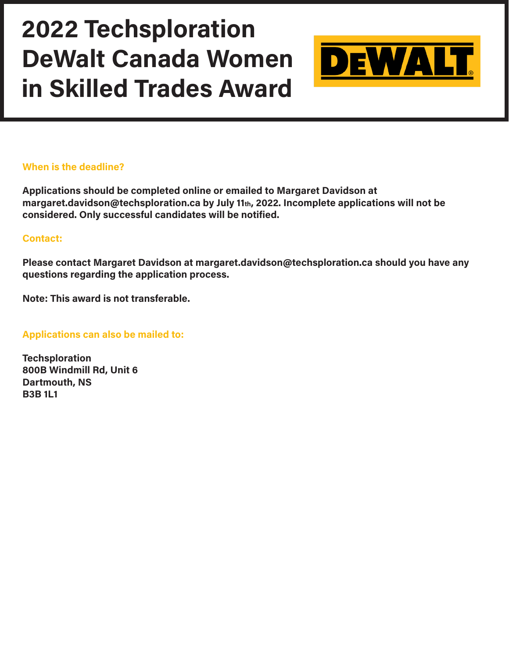

### **When is the deadline?**

**Applications should be completed online or emailed to Margaret Davidson at [margaret.davidson@techsploration.ca](mailto:margaret.davidson@techsploration.ca) by July 11th, 2022. Incomplete applications will not be considered. Only successful candidates will be notified.**

#### **Contact:**

**Please contact Margaret Davidson at [margaret.davidson@techsploration.ca](mailto:margaret.davidson@techsploration.ca) should you have any questions regarding the application process.**

**Note: This award is not transferable.**

**Applications can also be mailed to:**

**Techsploration 800B Windmill Rd, Unit 6 Dartmouth, NS B3B 1L1**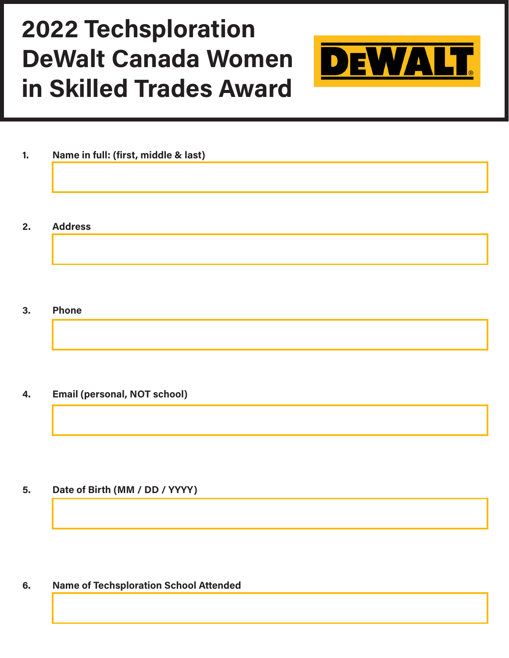

| 1. |  |  |  | Name in full: (first, middle & last) |  |  |
|----|--|--|--|--------------------------------------|--|--|
|----|--|--|--|--------------------------------------|--|--|

#### **2. Address**

#### **3. Phone**

### **4. Email (personal, NOT school)**

## **5. Date of Birth (MM / DD / YYYY)**

### **6. Name of Techsploration School Attended**